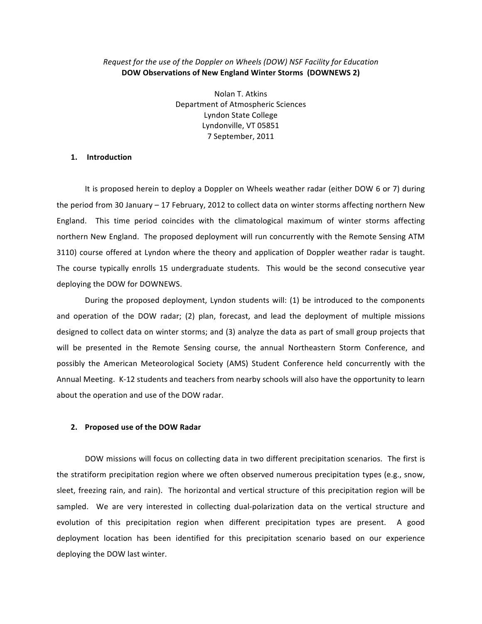### Request for the use of the Doppler on Wheels (DOW) NSF Facility for Education DOW Observations of New England Winter Storms (DOWNEWS 2)

Nolan T. Atkins Department of Atmospheric Sciences Lyndon State College Lyndonville, VT 05851 7 September, 2011

### 1. Introduction

It is proposed herein to deploy a Doppler on Wheels weather radar (either DOW 6 or 7) during the period from 30 January - 17 February, 2012 to collect data on winter storms affecting northern New England. This time period coincides with the climatological maximum of winter storms affecting northern New England. The proposed deployment will run concurrently with the Remote Sensing ATM 3110) course offered at Lyndon where the theory and application of Doppler weather radar is taught. The course typically enrolls 15 undergraduate students. This would be the second consecutive year deploying the DOW for DOWNEWS.

During the proposed deployment, Lyndon students will: (1) be introduced to the components and operation of the DOW radar; (2) plan, forecast, and lead the deployment of multiple missions designed to collect data on winter storms; and (3) analyze the data as part of small group projects that will be presented in the Remote Sensing course, the annual Northeastern Storm Conference, and possibly the American Meteorological Society (AMS) Student Conference held concurrently with the Annual Meeting. K-12 students and teachers from nearby schools will also have the opportunity to learn about the operation and use of the DOW radar.

#### 2. Proposed use of the DOW Radar

DOW missions will focus on collecting data in two different precipitation scenarios. The first is the stratiform precipitation region where we often observed numerous precipitation types (e.g., snow, sleet, freezing rain, and rain). The horizontal and vertical structure of this precipitation region will be sampled. We are very interested in collecting dual-polarization data on the vertical structure and evolution of this precipitation region when different precipitation types are present. A good deployment location has been identified for this precipitation scenario based on our experience deploying the DOW last winter.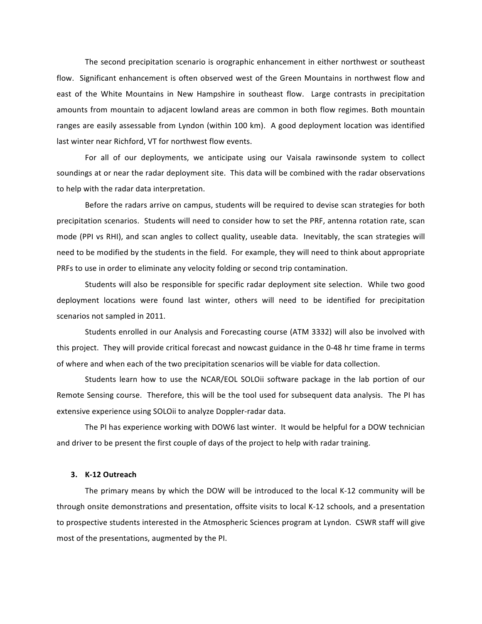The second precipitation scenario is orographic enhancement in either northwest or southeast flow. Significant enhancement is often observed west of the Green Mountains in northwest flow and east of the White Mountains in New Hampshire in southeast flow. Large contrasts in precipitation amounts from mountain to adjacent lowland areas are common in both flow regimes. Both mountain ranges are easily assessable from Lyndon (within 100 km). A good deployment location was identified last winter near Richford, VT for northwest flow events.

For all of our deployments, we anticipate using our Vaisala rawinsonde system to collect soundings at or near the radar deployment site. This data will be combined with the radar observations to help with the radar data interpretation.

Before the radars arrive on campus, students will be required to devise scan strategies for both precipitation scenarios. Students will need to consider how to set the PRF, antenna rotation rate, scan mode (PPI vs RHI), and scan angles to collect quality, useable data. Inevitably, the scan strategies will need to be modified by the students in the field. For example, they will need to think about appropriate PRFs to use in order to eliminate any velocity folding or second trip contamination.

Students will also be responsible for specific radar deployment site selection. While two good deployment locations were found last winter, others will need to be identified for precipitation scenarios not sampled in 2011.

Students enrolled in our Analysis and Forecasting course (ATM 3332) will also be involved with this project. They will provide critical forecast and nowcast guidance in the 0-48 hr time frame in terms of where and when each of the two precipitation scenarios will be viable for data collection.

Students learn how to use the NCAR/EOL SOLOii software package in the lab portion of our Remote Sensing course. Therefore, this will be the tool used for subsequent data analysis. The PI has extensive experience using SOLOii to analyze Doppler-radar data.

The PI has experience working with DOW6 last winter. It would be helpful for a DOW technician and driver to be present the first couple of days of the project to help with radar training.

### 3. K-12 Outreach

The primary means by which the DOW will be introduced to the local K-12 community will be through onsite demonstrations and presentation, offsite visits to local K-12 schools, and a presentation to prospective students interested in the Atmospheric Sciences program at Lyndon. CSWR staff will give most of the presentations, augmented by the PI.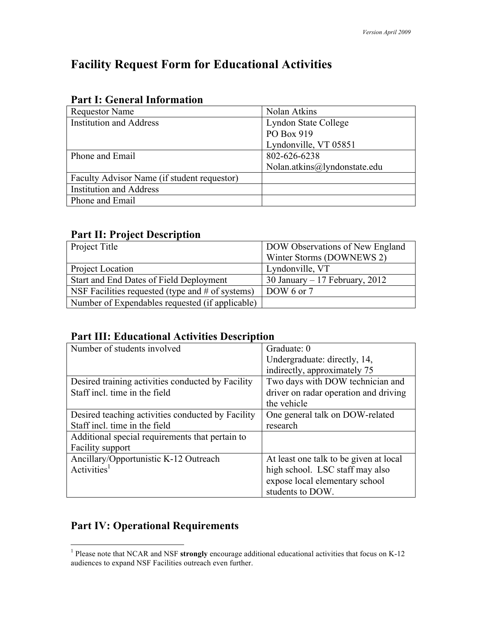# **Facility Request Form for Educational Activities**

| Nolan Atkins                 |
|------------------------------|
| Lyndon State College         |
| PO Box 919                   |
| Lyndonville, VT 05851        |
| 802-626-6238                 |
| Nolan.atkins@lyndonstate.edu |
|                              |
|                              |
|                              |
|                              |

### **Part I: General Information**

## **Part II: Project Description**

| <b>Project Title</b>                               | DOW Observations of New England |
|----------------------------------------------------|---------------------------------|
|                                                    | Winter Storms (DOWNEWS 2)       |
| Project Location                                   | Lyndonville, VT                 |
| Start and End Dates of Field Deployment            | 30 January $-17$ February, 2012 |
| NSF Facilities requested (type and $#$ of systems) | DOW 6 or $7$                    |
| Number of Expendables requested (if applicable)    |                                 |

## **Part III: Educational Activities Description**

| Number of students involved                       | Graduate: 0                            |
|---------------------------------------------------|----------------------------------------|
|                                                   | Undergraduate: directly, 14,           |
|                                                   | indirectly, approximately 75           |
| Desired training activities conducted by Facility | Two days with DOW technician and       |
| Staff incl. time in the field                     | driver on radar operation and driving  |
|                                                   | the vehicle                            |
| Desired teaching activities conducted by Facility | One general talk on DOW-related        |
| Staff incl. time in the field                     | research                               |
| Additional special requirements that pertain to   |                                        |
| <b>Facility support</b>                           |                                        |
| Ancillary/Opportunistic K-12 Outreach             | At least one talk to be given at local |
| Activities $1$                                    | high school. LSC staff may also        |
|                                                   | expose local elementary school         |
|                                                   | students to DOW.                       |

# **Part IV: Operational Requirements**

 <sup>1</sup> Please note that NCAR and NSF **strongly** encourage additional educational activities that focus on K-12 audiences to expand NSF Facilities outreach even further.